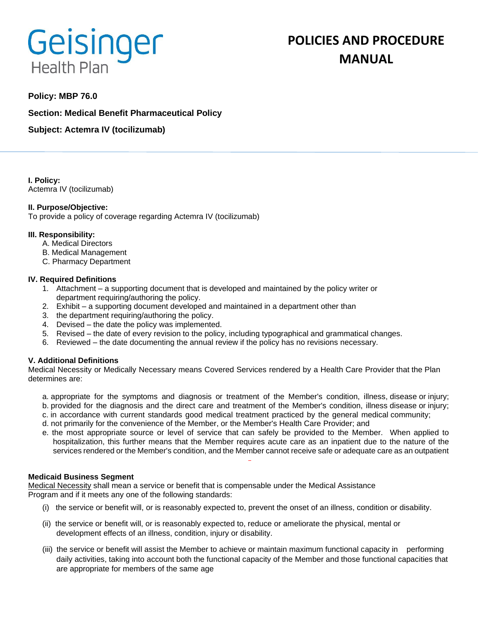# Geisinger **Health Plan**

# **Policy: MBP 76.0**

**Section: Medical Benefit Pharmaceutical Policy**

**Subject: Actemra IV (tocilizumab)**

**I. Policy:** Actemra IV (tocilizumab)

# **II. Purpose/Objective:**

To provide a policy of coverage regarding Actemra IV (tocilizumab)

## **III. Responsibility:**

- A. Medical Directors
- B. Medical Management
- C. Pharmacy Department

## **IV. Required Definitions**

- 1. Attachment a supporting document that is developed and maintained by the policy writer or department requiring/authoring the policy.
- 2. Exhibit a supporting document developed and maintained in a department other than
- 3. the department requiring/authoring the policy.
- 4. Devised the date the policy was implemented.
- 5. Revised the date of every revision to the policy, including typographical and grammatical changes.
- 6. Reviewed the date documenting the annual review if the policy has no revisions necessary.

# **V. Additional Definitions**

Medical Necessity or Medically Necessary means Covered Services rendered by a Health Care Provider that the Plan determines are:

- a. appropriate for the symptoms and diagnosis or treatment of the Member's condition, illness, disease or injury; b. provided for the diagnosis and the direct care and treatment of the Member's condition, illness disease or injury;
- c. in accordance with current standards good medical treatment practiced by the general medical community;
- d. not primarily for the convenience of the Member, or the Member's Health Care Provider; and
- e. the most appropriate source or level of service that can safely be provided to the Member. When applied to hospitalization, this further means that the Member requires acute care as an inpatient due to the nature of the services rendered or the Member's condition, and the Member cannot receive safe or adequate care as an outpatient

#### **Medicaid Business Segment**

Medical Necessity shall mean a service or benefit that is compensable under the Medical Assistance Program and if it meets any one of the following standards:

- (i) the service or benefit will, or is reasonably expected to, prevent the onset of an illness, condition or disability.
- (ii) the service or benefit will, or is reasonably expected to, reduce or ameliorate the physical, mental or development effects of an illness, condition, injury or disability.
- (iii) the service or benefit will assist the Member to achieve or maintain maximum functional capacity in performing daily activities, taking into account both the functional capacity of the Member and those functional capacities that are appropriate for members of the same age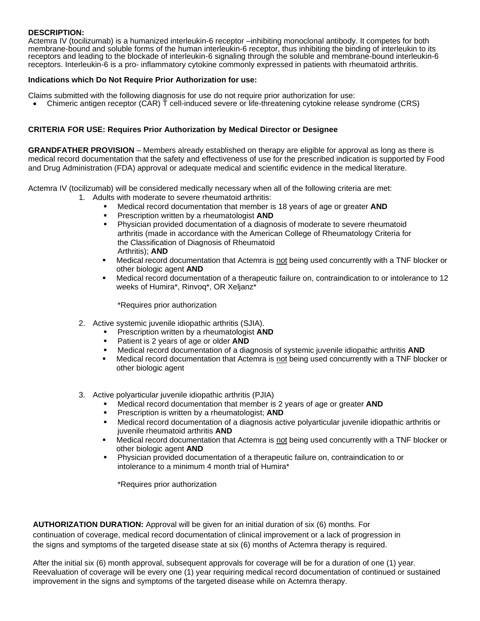# **DESCRIPTION:**

Actemra IV (tocilizumab) is a humanized interleukin-6 receptor –inhibiting monoclonal antibody. It competes for both membrane-bound and soluble forms of the human interleukin-6 receptor, thus inhibiting the binding of interleukin to its receptors and leading to the blockade of interleukin-6 signaling through the soluble and membrane-bound interleukin-6 receptors. Interleukin-6 is a pro- inflammatory cytokine commonly expressed in patients with rheumatoid arthritis.

## **Indications which Do Not Require Prior Authorization for use:**

Claims submitted with the following diagnosis for use do not require prior authorization for use:

• Chimeric antigen receptor (CAR) T cell-induced severe or life-threatening cytokine release syndrome (CRS)

# **CRITERIA FOR USE: Requires Prior Authorization by Medical Director or Designee**

**GRANDFATHER PROVISION** – Members already established on therapy are eligible for approval as long as there is medical record documentation that the safety and effectiveness of use for the prescribed indication is supported by Food and Drug Administration (FDA) approval or adequate medical and scientific evidence in the medical literature.

Actemra IV (tocilizumab) will be considered medically necessary when all of the following criteria are met:

- 1. Adults with moderate to severe rheumatoid arthritis:
	- Medical record documentation that member is 18 years of age or greater **AND**
	- Prescription written by a rheumatologist **AND**
	- **Physician provided documentation of a diagnosis of moderate to severe rheumatoid** arthritis (made in accordance with the American College of Rheumatology Criteria for the Classification of Diagnosis of Rheumatoid Arthritis); **AND**
	- Medical record documentation that Actemra is not being used concurrently with a TNF blocker or other biologic agent **AND**
	- Medical record documentation of a therapeutic failure on, contraindication to or intolerance to 12 weeks of Humira\*, Rinvoq\*, OR Xeljanz\*

\*Requires prior authorization

- 2. Active systemic juvenile idiopathic arthritis (SJIA).
	- Prescription written by a rheumatologist **AND**
	- Patient is 2 years of age or older **AND**
	- Medical record documentation of a diagnosis of systemic juvenile idiopathic arthritis **AND**
	- Medical record documentation that Actemra is not being used concurrently with a TNF blocker or other biologic agent
- 3. Active polyarticular juvenile idiopathic arthritis (PJIA)
	- Medical record documentation that member is 2 years of age or greater **AND**
	- Prescription is written by a rheumatologist; **AND**
	- Medical record documentation of a diagnosis active polyarticular juvenile idiopathic arthritis or juvenile rheumatoid arthritis **AND**
	- Medical record documentation that Actemra is not being used concurrently with a TNF blocker or other biologic agent **AND**
	- Physician provided documentation of a therapeutic failure on, contraindication to or intolerance to a minimum 4 month trial of Humira\*

\*Requires prior authorization

**AUTHORIZATION DURATION:** Approval will be given for an initial duration of six (6) months. For continuation of coverage, medical record documentation of clinical improvement or a lack of progression in the signs and symptoms of the targeted disease state at six (6) months of Actemra therapy is required.

After the initial six (6) month approval, subsequent approvals for coverage will be for a duration of one (1) year. Reevaluation of coverage will be every one (1) year requiring medical record documentation of continued or sustained improvement in the signs and symptoms of the targeted disease while on Actemra therapy.